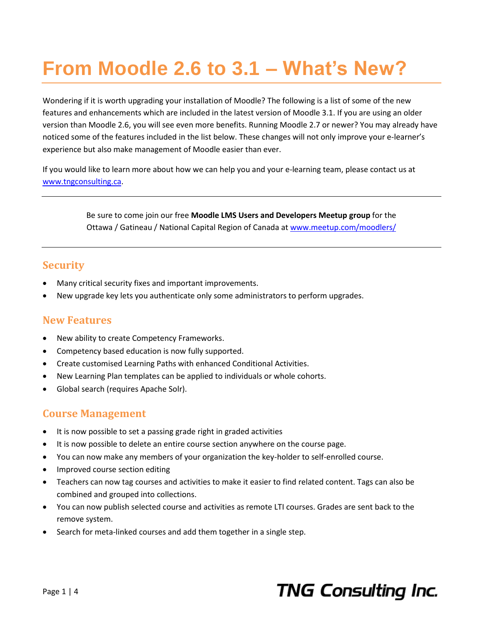# **From Moodle 2.6 to 3.1 – What's New?**

Wondering if it is worth upgrading your installation of Moodle? The following is a list of some of the new features and enhancements which are included in the latest version of Moodle 3.1. If you are using an older version than Moodle 2.6, you will see even more benefits. Running Moodle 2.7 or newer? You may already have noticed some of the features included in the list below. These changes will not only improve your e-learner's experience but also make management of Moodle easier than ever.

If you would like to learn more about how we can help you and your e-learning team, please contact us at [www.tngconsulting.ca.](http://www.tngconsulting.ca/)

> Be sure to come join our free **Moodle LMS Users and Developers Meetup group** for the Ottawa / Gatineau / National Capital Region of Canada at [www.meetup.com/moodlers/](http://www.meetup.com/moodlers/)

### **Security**

- Many critical security fixes and important improvements.
- New upgrade key lets you authenticate only some administrators to perform upgrades.

#### **New Features**

- New ability to create Competency Frameworks.
- Competency based education is now fully supported.
- Create customised Learning Paths with enhanced Conditional Activities.
- New Learning Plan templates can be applied to individuals or whole cohorts.
- Global search (requires Apache Solr).

### **Course Management**

- It is now possible to set a passing grade right in graded activities
- It is now possible to delete an entire course section anywhere on the course page.
- You can now make any members of your organization the key-holder to self-enrolled course.
- Improved course section editing
- Teachers can now tag courses and activities to make it easier to find related content. Tags can also be combined and grouped into collections.
- You can now publish selected course and activities as remote LTI courses. Grades are sent back to the remove system.
- Search for meta-linked courses and add them together in a single step.

# **TNG Consulting Inc.**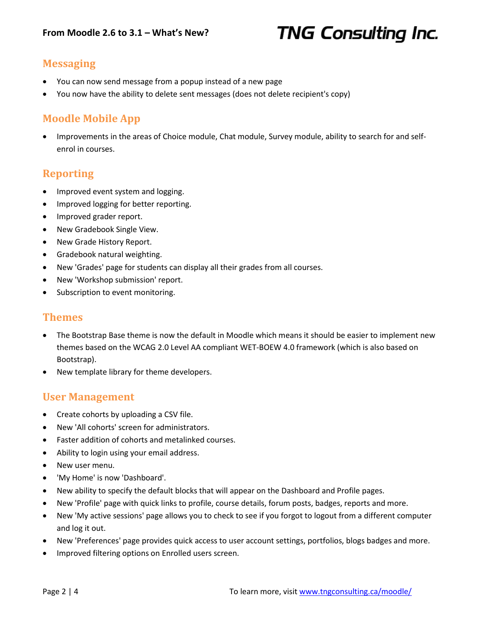# **TNG Consulting Inc.**

### **Messaging**

- You can now send message from a popup instead of a new page
- You now have the ability to delete sent messages (does not delete recipient's copy)

#### **Moodle Mobile App**

 Improvements in the areas of Choice module, Chat module, Survey module, ability to search for and selfenrol in courses.

#### **Reporting**

- Improved event system and logging.
- Improved logging for better reporting.
- Improved grader report.
- New Gradebook Single View.
- New Grade History Report.
- Gradebook natural weighting.
- New 'Grades' page for students can display all their grades from all courses.
- New 'Workshop submission' report.
- Subscription to event monitoring.

#### **Themes**

- The Bootstrap Base theme is now the default in Moodle which means it should be easier to implement new themes based on the WCAG 2.0 Level AA compliant WET-BOEW 4.0 framework (which is also based on Bootstrap).
- New template library for theme developers.

#### **User Management**

- Create cohorts by uploading a CSV file.
- New 'All cohorts' screen for administrators.
- Faster addition of cohorts and metalinked courses.
- Ability to login using your email address.
- New user menu.
- 'My Home' is now 'Dashboard'.
- New ability to specify the default blocks that will appear on the Dashboard and Profile pages.
- New 'Profile' page with quick links to profile, course details, forum posts, badges, reports and more.
- New 'My active sessions' page allows you to check to see if you forgot to logout from a different computer and log it out.
- New 'Preferences' page provides quick access to user account settings, portfolios, blogs badges and more.
- Improved filtering options on Enrolled users screen.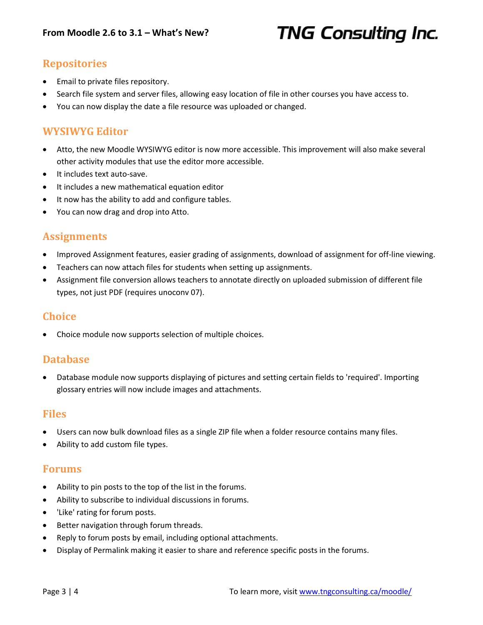## **TNG Consulting Inc.**

### **Repositories**

- Email to private files repository.
- Search file system and server files, allowing easy location of file in other courses you have access to.
- You can now display the date a file resource was uploaded or changed.

#### **WYSIWYG Editor**

- Atto, the new Moodle WYSIWYG editor is now more accessible. This improvement will also make several other activity modules that use the editor more accessible.
- It includes text auto-save.
- It includes a new mathematical equation editor
- It now has the ability to add and configure tables.
- You can now drag and drop into Atto.

#### **Assignments**

- Improved Assignment features, easier grading of assignments, download of assignment for off-line viewing.
- Teachers can now attach files for students when setting up assignments.
- Assignment file conversion allows teachers to annotate directly on uploaded submission of different file types, not just PDF (requires unoconv 07).

#### **Choice**

Choice module now supports selection of multiple choices.

#### **Database**

 Database module now supports displaying of pictures and setting certain fields to 'required'. Importing glossary entries will now include images and attachments.

#### **Files**

- Users can now bulk download files as a single ZIP file when a folder resource contains many files.
- Ability to add custom file types.

#### **Forums**

- Ability to pin posts to the top of the list in the forums.
- Ability to subscribe to individual discussions in forums.
- 'Like' rating for forum posts.
- Better navigation through forum threads.
- Reply to forum posts by email, including optional attachments.
- Display of Permalink making it easier to share and reference specific posts in the forums.